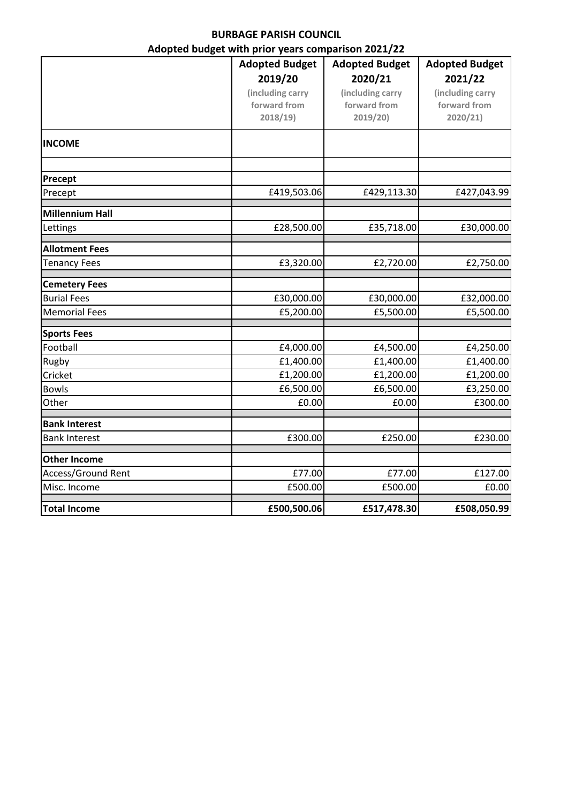## **BURBAGE PARISH COUNCIL**

## **Adopted budget with prior years comparison 2021/22**

|                        | <b>Adopted Budget</b> | <b>Adopted Budget</b> | <b>Adopted Budget</b> |
|------------------------|-----------------------|-----------------------|-----------------------|
|                        | 2019/20               | 2020/21               | 2021/22               |
|                        | (including carry      | (including carry      | (including carry      |
|                        | forward from          | forward from          | forward from          |
|                        | 2018/19)              | 2019/20               | 2020/21               |
| <b>INCOME</b>          |                       |                       |                       |
| Precept                |                       |                       |                       |
| Precept                | £419,503.06           | £429,113.30           | £427,043.99           |
| <b>Millennium Hall</b> |                       |                       |                       |
| Lettings               | £28,500.00            | £35,718.00            | £30,000.00            |
| <b>Allotment Fees</b>  |                       |                       |                       |
| <b>Tenancy Fees</b>    | £3,320.00             | £2,720.00             | £2,750.00             |
| <b>Cemetery Fees</b>   |                       |                       |                       |
| <b>Burial Fees</b>     | £30,000.00            | £30,000.00            | £32,000.00            |
| <b>Memorial Fees</b>   | £5,200.00             | £5,500.00             | £5,500.00             |
| <b>Sports Fees</b>     |                       |                       |                       |
| Football               | £4,000.00             | £4,500.00             | £4,250.00             |
| Rugby                  | £1,400.00             | £1,400.00             | £1,400.00             |
| Cricket                | £1,200.00             | £1,200.00             | £1,200.00             |
| <b>Bowls</b>           | £6,500.00             | £6,500.00             | £3,250.00             |
| Other                  | £0.00                 | £0.00                 | £300.00               |
| <b>Bank Interest</b>   |                       |                       |                       |
| <b>Bank Interest</b>   | £300.00               | £250.00               | £230.00               |
| <b>Other Income</b>    |                       |                       |                       |
| Access/Ground Rent     | £77.00                | £77.00                | £127.00               |
| Misc. Income           | £500.00               | £500.00               | £0.00                 |
| <b>Total Income</b>    | £500,500.06           | £517,478.30           | £508,050.99           |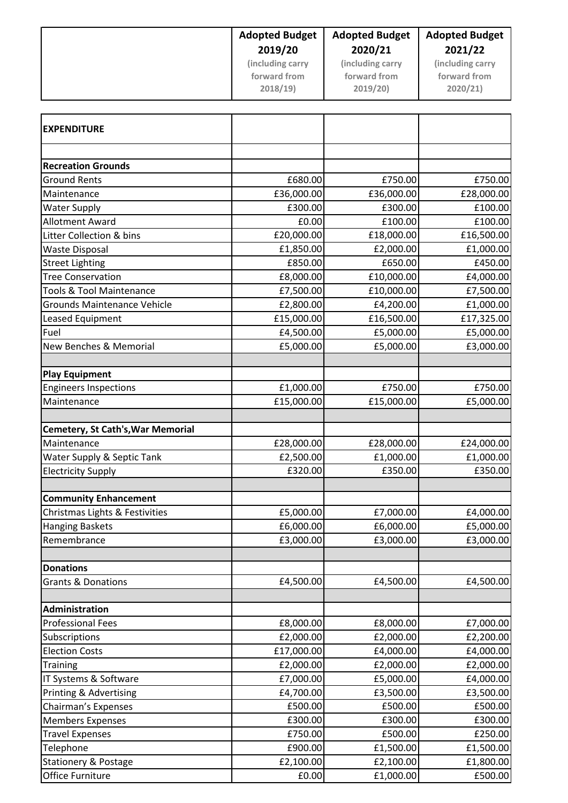|                                                                 | <b>Adopted Budget</b>   | <b>Adopted Budget</b>   | <b>Adopted Budget</b>   |
|-----------------------------------------------------------------|-------------------------|-------------------------|-------------------------|
|                                                                 | 2019/20                 | 2020/21                 | 2021/22                 |
|                                                                 | (including carry        | (including carry        | (including carry        |
|                                                                 | forward from            | forward from            | forward from            |
|                                                                 | 2018/19)                | 2019/20)                | 2020/21)                |
|                                                                 |                         |                         |                         |
| <b>EXPENDITURE</b>                                              |                         |                         |                         |
|                                                                 |                         |                         |                         |
| <b>Recreation Grounds</b>                                       |                         |                         |                         |
| <b>Ground Rents</b>                                             | £680.00                 | £750.00                 | £750.00                 |
| Maintenance                                                     | £36,000.00              | £36,000.00              | £28,000.00              |
| <b>Water Supply</b>                                             | £300.00                 | £300.00                 | £100.00                 |
| <b>Allotment Award</b>                                          | £0.00                   | £100.00<br>£18,000.00   | £100.00                 |
| Litter Collection & bins                                        | £20,000.00              |                         | £16,500.00              |
| <b>Waste Disposal</b>                                           | £1,850.00<br>£850.00    | £2,000.00<br>£650.00    | £1,000.00<br>£450.00    |
| <b>Street Lighting</b>                                          |                         |                         |                         |
| <b>Tree Conservation</b><br><b>Tools &amp; Tool Maintenance</b> | £8,000.00               | £10,000.00              | £4,000.00               |
| <b>Grounds Maintenance Vehicle</b>                              | £7,500.00               | £10,000.00<br>£4,200.00 | £7,500.00               |
| Leased Equipment                                                | £2,800.00<br>£15,000.00 | £16,500.00              | £1,000.00               |
| Fuel                                                            | £4,500.00               | £5,000.00               | £17,325.00<br>£5,000.00 |
| New Benches & Memorial                                          | £5,000.00               | £5,000.00               | £3,000.00               |
|                                                                 |                         |                         |                         |
| <b>Play Equipment</b>                                           |                         |                         |                         |
| <b>Engineers Inspections</b>                                    | £1,000.00               | £750.00                 | £750.00                 |
| Maintenance                                                     | £15,000.00              | £15,000.00              | £5,000.00               |
| Cemetery, St Cath's, War Memorial                               |                         |                         |                         |
| Maintenance                                                     | £28,000.00              | £28,000.00              | £24,000.00              |
| Water Supply & Septic Tank                                      | £2,500.00               | £1,000.00               | £1,000.00               |
| <b>Electricity Supply</b>                                       | £320.00                 | £350.00                 | £350.00                 |
|                                                                 |                         |                         |                         |
| <b>Community Enhancement</b>                                    |                         |                         |                         |
| Christmas Lights & Festivities                                  | £5,000.00               | £7,000.00               | £4,000.00               |
| <b>Hanging Baskets</b>                                          | £6,000.00               | £6,000.00               | £5,000.00               |
| Remembrance                                                     | £3,000.00               | £3,000.00               | £3,000.00               |
| <b>Donations</b>                                                |                         |                         |                         |
| <b>Grants &amp; Donations</b>                                   | £4,500.00               | £4,500.00               | £4,500.00               |
|                                                                 |                         |                         |                         |
| Administration                                                  |                         |                         |                         |
| <b>Professional Fees</b>                                        | £8,000.00               | £8,000.00               | £7,000.00               |
| Subscriptions                                                   | £2,000.00               | £2,000.00               | £2,200.00               |
| <b>Election Costs</b>                                           | £17,000.00              | £4,000.00               | £4,000.00               |
| <b>Training</b>                                                 | £2,000.00               | £2,000.00               | £2,000.00               |
| IT Systems & Software                                           | £7,000.00               | £5,000.00               | £4,000.00               |
| <b>Printing &amp; Advertising</b>                               | £4,700.00               | £3,500.00               | £3,500.00               |
| Chairman's Expenses                                             | £500.00                 | £500.00                 | £500.00                 |
| <b>Members Expenses</b>                                         | £300.00                 | £300.00                 | £300.00                 |
| <b>Travel Expenses</b>                                          | £750.00                 | £500.00                 | £250.00                 |
| Telephone                                                       | £900.00                 | £1,500.00               | £1,500.00               |
| <b>Stationery &amp; Postage</b>                                 | £2,100.00               | £2,100.00               | £1,800.00               |
| Office Furniture                                                | £0.00                   | £1,000.00               | £500.00                 |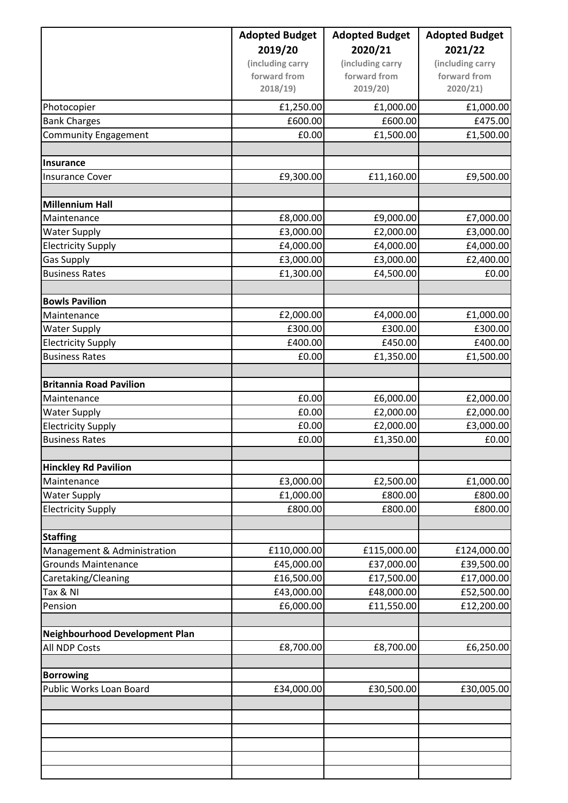|                                             | <b>Adopted Budget</b> | <b>Adopted Budget</b><br>2020/21 | <b>Adopted Budget</b><br>2021/22 |
|---------------------------------------------|-----------------------|----------------------------------|----------------------------------|
|                                             | 2019/20               |                                  |                                  |
|                                             | (including carry      | (including carry                 | (including carry                 |
|                                             | forward from          | forward from                     | forward from                     |
|                                             | 2018/19)              | 2019/20                          | 2020/21                          |
| Photocopier                                 | £1,250.00             | £1,000.00                        | £1,000.00                        |
| <b>Bank Charges</b>                         | £600.00               | £600.00                          | £475.00                          |
| <b>Community Engagement</b>                 | £0.00                 | £1,500.00                        | £1,500.00                        |
|                                             |                       |                                  |                                  |
| Insurance                                   |                       |                                  |                                  |
| <b>Insurance Cover</b>                      | £9,300.00             | £11,160.00                       | £9,500.00                        |
| <b>Millennium Hall</b>                      |                       |                                  |                                  |
| Maintenance                                 | £8,000.00             | £9,000.00                        | £7,000.00                        |
| <b>Water Supply</b>                         | £3,000.00             | £2,000.00                        | £3,000.00                        |
| <b>Electricity Supply</b>                   | £4,000.00             | £4,000.00                        | £4,000.00                        |
| <b>Gas Supply</b>                           | £3,000.00             | £3,000.00                        | £2,400.00                        |
| <b>Business Rates</b>                       | £1,300.00             | £4,500.00                        | £0.00                            |
|                                             |                       |                                  |                                  |
| <b>Bowls Pavilion</b>                       |                       |                                  |                                  |
| Maintenance                                 | £2,000.00             | £4,000.00                        | £1,000.00                        |
| <b>Water Supply</b>                         | £300.00               | £300.00                          | £300.00                          |
| <b>Electricity Supply</b>                   | £400.00               | £450.00                          | £400.00                          |
| <b>Business Rates</b>                       | £0.00                 | £1,350.00                        | £1,500.00                        |
| <b>Britannia Road Pavilion</b>              |                       |                                  |                                  |
| Maintenance                                 | £0.00                 | £6,000.00                        | £2,000.00                        |
| <b>Water Supply</b>                         | £0.00                 | £2,000.00                        | £2,000.00                        |
| <b>Electricity Supply</b>                   | £0.00                 | £2,000.00                        | £3,000.00                        |
| <b>Business Rates</b>                       | £0.00                 | £1,350.00                        | £0.00                            |
|                                             |                       |                                  |                                  |
| <b>Hinckley Rd Pavilion</b>                 |                       |                                  |                                  |
| Maintenance                                 | £3,000.00             | £2,500.00                        | £1,000.00                        |
| <b>Water Supply</b>                         | £1,000.00             | £800.00                          | £800.00                          |
| <b>Electricity Supply</b>                   | £800.00               | £800.00                          | £800.00                          |
| <b>Staffing</b>                             |                       |                                  |                                  |
| Management & Administration                 | £110,000.00           | £115,000.00                      | £124,000.00                      |
| <b>Grounds Maintenance</b>                  | £45,000.00            | £37,000.00                       | £39,500.00                       |
| Caretaking/Cleaning                         | £16,500.00            | £17,500.00                       | £17,000.00                       |
| Tax & NI                                    | £43,000.00            | £48,000.00                       | £52,500.00                       |
| Pension                                     | £6,000.00             | £11,550.00                       | £12,200.00                       |
|                                             |                       |                                  |                                  |
| Neighbourhood Development Plan              |                       |                                  |                                  |
| All NDP Costs                               | £8,700.00             | £8,700.00                        | £6,250.00                        |
|                                             |                       |                                  |                                  |
| <b>Borrowing</b><br>Public Works Loan Board | £34,000.00            | £30,500.00                       | £30,005.00                       |
|                                             |                       |                                  |                                  |
|                                             |                       |                                  |                                  |
|                                             |                       |                                  |                                  |
|                                             |                       |                                  |                                  |
|                                             |                       |                                  |                                  |
|                                             |                       |                                  |                                  |